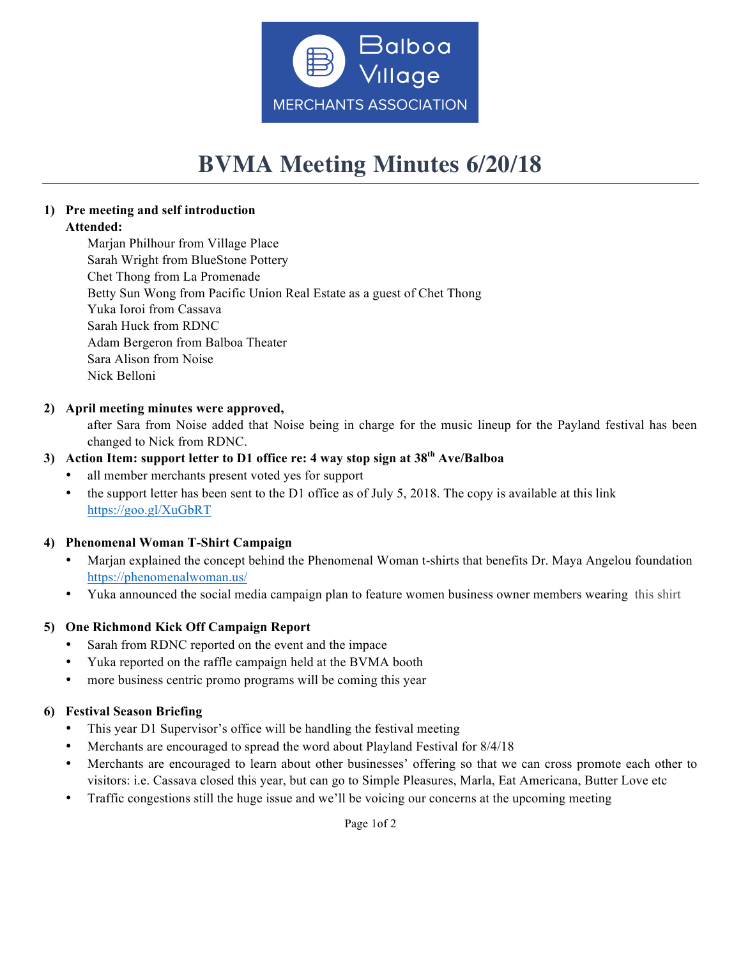

# **BVMA Meeting Minutes 6/20/18**

# **1) Pre meeting and self introduction**

# **Attended:**

Marjan Philhour from Village Place Sarah Wright from BlueStone Pottery Chet Thong from La Promenade Betty Sun Wong from Pacific Union Real Estate as a guest of Chet Thong Yuka Ioroi from Cassava Sarah Huck from RDNC Adam Bergeron from Balboa Theater Sara Alison from Noise Nick Belloni

### **2) April meeting minutes were approved,**

after Sara from Noise added that Noise being in charge for the music lineup for the Payland festival has been changed to Nick from RDNC.

## **3) Action Item: support letter to D1 office re: 4 way stop sign at 38th Ave/Balboa**

- all member merchants present voted yes for support
- the support letter has been sent to the D1 office as of July 5, 2018. The copy is available at this link https://goo.gl/XuGbRT

### **4) Phenomenal Woman T-Shirt Campaign**

- Marjan explained the concept behind the Phenomenal Woman t-shirts that benefits Dr. Maya Angelou foundation https://phenomenalwoman.us/
- Yuka announced the social media campaign plan to feature women business owner members wearing this shirt

### **5) One Richmond Kick Off Campaign Report**

- Sarah from RDNC reported on the event and the impace
- Yuka reported on the raffle campaign held at the BVMA booth
- more business centric promo programs will be coming this year

### **6) Festival Season Briefing**

- This year D1 Supervisor's office will be handling the festival meeting
- Merchants are encouraged to spread the word about Playland Festival for 8/4/18
- Merchants are encouraged to learn about other businesses' offering so that we can cross promote each other to visitors: i.e. Cassava closed this year, but can go to Simple Pleasures, Marla, Eat Americana, Butter Love etc
- Traffic congestions still the huge issue and we'll be voicing our concerns at the upcoming meeting

Page 1of 2